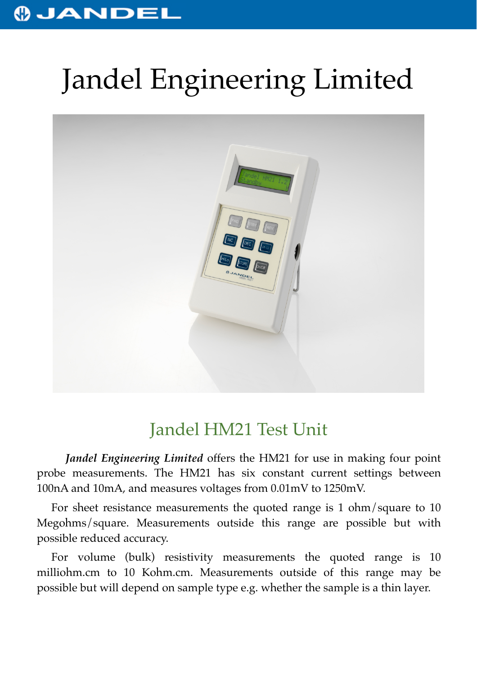## **OJANDEL**

## Jandel Engineering Limited



## Jandel HM21 Test Unit

*Jandel Engineering Limited* offers the HM21 for use in making four point probe measurements. The HM21 has six constant current settings between 100nA and 10mA, and measures voltages from 0.01mV to 1250mV.

For sheet resistance measurements the quoted range is 1 ohm/square to 10 Megohms/square. Measurements outside this range are possible but with possible reduced accuracy.

For volume (bulk) resistivity measurements the quoted range is 10 milliohm.cm to 10 Kohm.cm. Measurements outside of this range may be possible but will depend on sample type e.g. whether the sample is a thin layer.